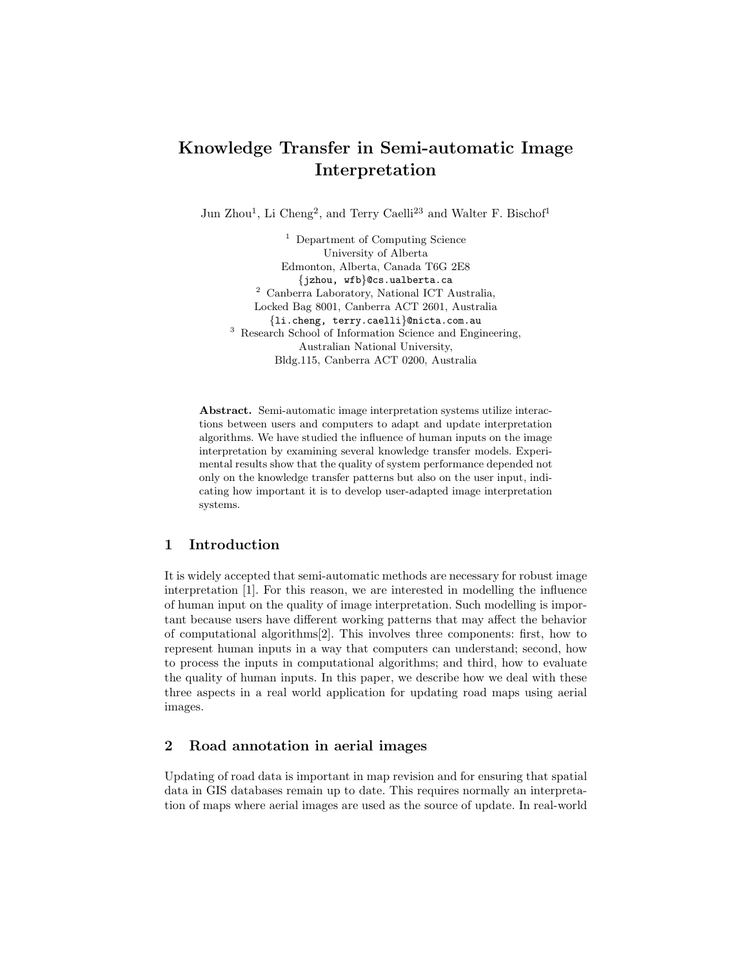# Knowledge Transfer in Semi-automatic Image Interpretation

Jun Zhou<sup>1</sup>, Li Cheng<sup>2</sup>, and Terry Caelli<sup>23</sup> and Walter F. Bischof<sup>1</sup>

<sup>1</sup> Department of Computing Science University of Alberta Edmonton, Alberta, Canada T6G 2E8 {jzhou, wfb}@cs.ualberta.ca <sup>2</sup> Canberra Laboratory, National ICT Australia, Locked Bag 8001, Canberra ACT 2601, Australia {li.cheng, terry.caelli}@nicta.com.au <sup>3</sup> Research School of Information Science and Engineering, Australian National University, Bldg.115, Canberra ACT 0200, Australia

Abstract. Semi-automatic image interpretation systems utilize interactions between users and computers to adapt and update interpretation algorithms. We have studied the influence of human inputs on the image interpretation by examining several knowledge transfer models. Experimental results show that the quality of system performance depended not only on the knowledge transfer patterns but also on the user input, indicating how important it is to develop user-adapted image interpretation systems.

## 1 Introduction

It is widely accepted that semi-automatic methods are necessary for robust image interpretation [1]. For this reason, we are interested in modelling the influence of human input on the quality of image interpretation. Such modelling is important because users have different working patterns that may affect the behavior of computational algorithms[2]. This involves three components: first, how to represent human inputs in a way that computers can understand; second, how to process the inputs in computational algorithms; and third, how to evaluate the quality of human inputs. In this paper, we describe how we deal with these three aspects in a real world application for updating road maps using aerial images.

## 2 Road annotation in aerial images

Updating of road data is important in map revision and for ensuring that spatial data in GIS databases remain up to date. This requires normally an interpretation of maps where aerial images are used as the source of update. In real-world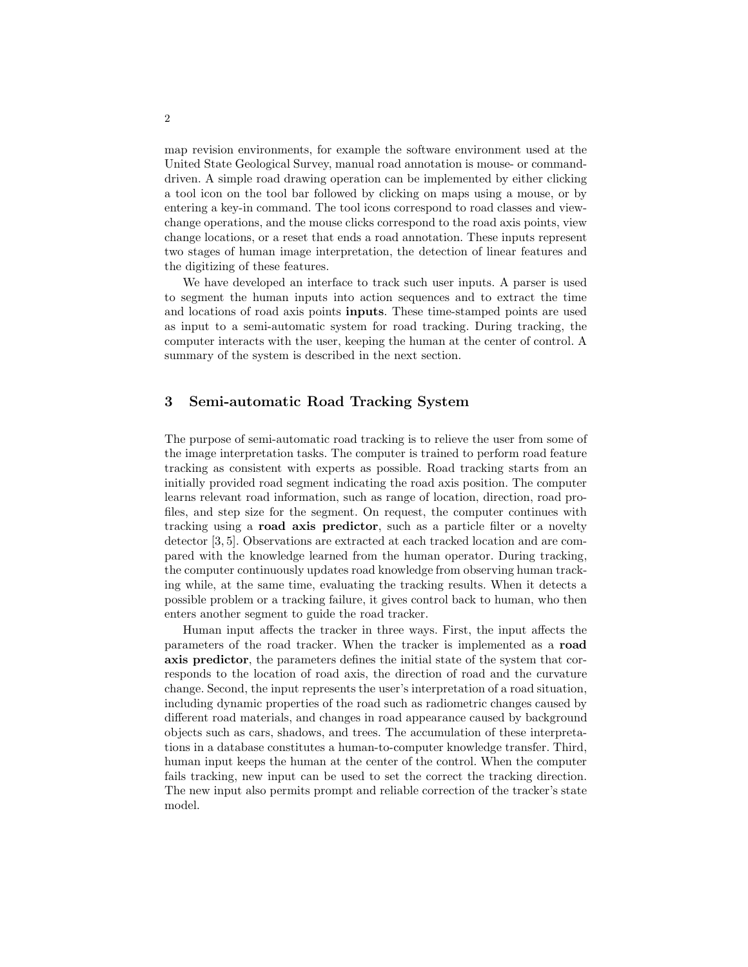map revision environments, for example the software environment used at the United State Geological Survey, manual road annotation is mouse- or commanddriven. A simple road drawing operation can be implemented by either clicking a tool icon on the tool bar followed by clicking on maps using a mouse, or by entering a key-in command. The tool icons correspond to road classes and viewchange operations, and the mouse clicks correspond to the road axis points, view change locations, or a reset that ends a road annotation. These inputs represent two stages of human image interpretation, the detection of linear features and the digitizing of these features.

We have developed an interface to track such user inputs. A parser is used to segment the human inputs into action sequences and to extract the time and locations of road axis points inputs. These time-stamped points are used as input to a semi-automatic system for road tracking. During tracking, the computer interacts with the user, keeping the human at the center of control. A summary of the system is described in the next section.

## 3 Semi-automatic Road Tracking System

The purpose of semi-automatic road tracking is to relieve the user from some of the image interpretation tasks. The computer is trained to perform road feature tracking as consistent with experts as possible. Road tracking starts from an initially provided road segment indicating the road axis position. The computer learns relevant road information, such as range of location, direction, road profiles, and step size for the segment. On request, the computer continues with tracking using a road axis predictor, such as a particle filter or a novelty detector [3, 5]. Observations are extracted at each tracked location and are compared with the knowledge learned from the human operator. During tracking, the computer continuously updates road knowledge from observing human tracking while, at the same time, evaluating the tracking results. When it detects a possible problem or a tracking failure, it gives control back to human, who then enters another segment to guide the road tracker.

Human input affects the tracker in three ways. First, the input affects the parameters of the road tracker. When the tracker is implemented as a road axis predictor, the parameters defines the initial state of the system that corresponds to the location of road axis, the direction of road and the curvature change. Second, the input represents the user's interpretation of a road situation, including dynamic properties of the road such as radiometric changes caused by different road materials, and changes in road appearance caused by background objects such as cars, shadows, and trees. The accumulation of these interpretations in a database constitutes a human-to-computer knowledge transfer. Third, human input keeps the human at the center of the control. When the computer fails tracking, new input can be used to set the correct the tracking direction. The new input also permits prompt and reliable correction of the tracker's state model.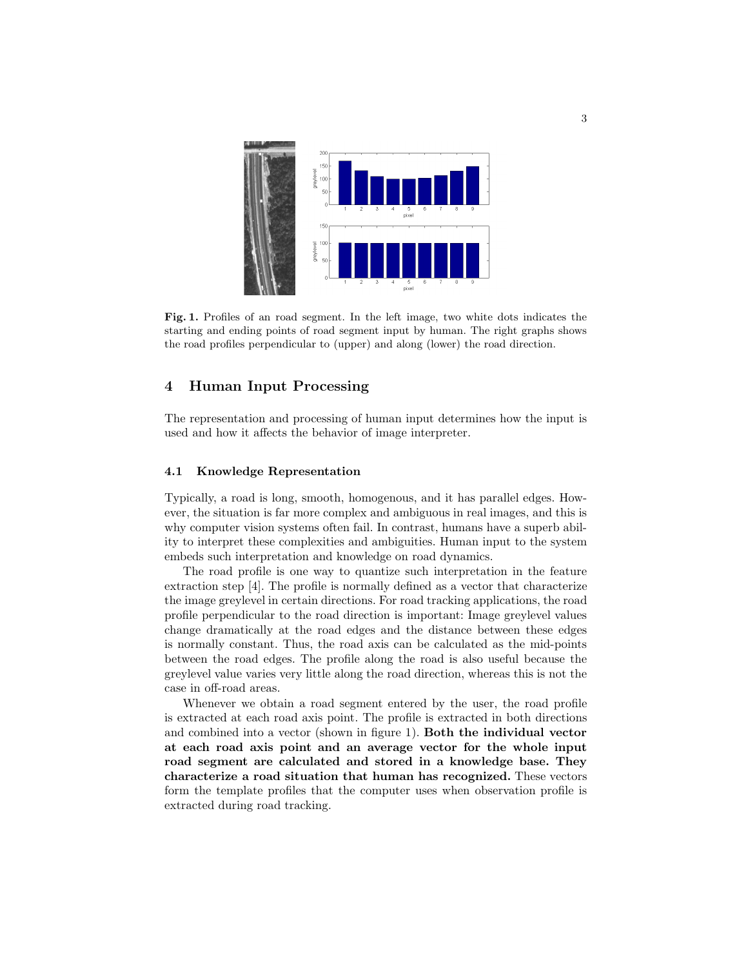

Fig. 1. Profiles of an road segment. In the left image, two white dots indicates the starting and ending points of road segment input by human. The right graphs shows the road profiles perpendicular to (upper) and along (lower) the road direction.

## 4 Human Input Processing

The representation and processing of human input determines how the input is used and how it affects the behavior of image interpreter.

#### 4.1 Knowledge Representation

Typically, a road is long, smooth, homogenous, and it has parallel edges. However, the situation is far more complex and ambiguous in real images, and this is why computer vision systems often fail. In contrast, humans have a superb ability to interpret these complexities and ambiguities. Human input to the system embeds such interpretation and knowledge on road dynamics.

The road profile is one way to quantize such interpretation in the feature extraction step [4]. The profile is normally defined as a vector that characterize the image greylevel in certain directions. For road tracking applications, the road profile perpendicular to the road direction is important: Image greylevel values change dramatically at the road edges and the distance between these edges is normally constant. Thus, the road axis can be calculated as the mid-points between the road edges. The profile along the road is also useful because the greylevel value varies very little along the road direction, whereas this is not the case in off-road areas.

Whenever we obtain a road segment entered by the user, the road profile is extracted at each road axis point. The profile is extracted in both directions and combined into a vector (shown in figure 1). Both the individual vector at each road axis point and an average vector for the whole input road segment are calculated and stored in a knowledge base. They characterize a road situation that human has recognized. These vectors form the template profiles that the computer uses when observation profile is extracted during road tracking.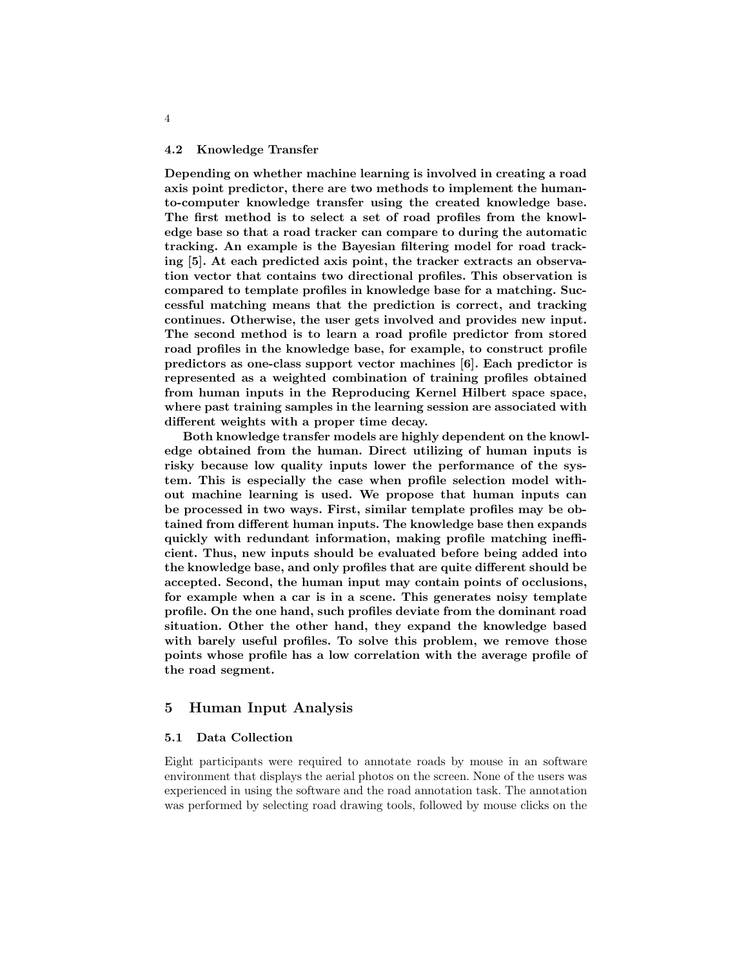#### 4.2 Knowledge Transfer

Depending on whether machine learning is involved in creating a road axis point predictor, there are two methods to implement the humanto-computer knowledge transfer using the created knowledge base. The first method is to select a set of road profiles from the knowledge base so that a road tracker can compare to during the automatic tracking. An example is the Bayesian filtering model for road tracking [5]. At each predicted axis point, the tracker extracts an observation vector that contains two directional profiles. This observation is compared to template profiles in knowledge base for a matching. Successful matching means that the prediction is correct, and tracking continues. Otherwise, the user gets involved and provides new input. The second method is to learn a road profile predictor from stored road profiles in the knowledge base, for example, to construct profile predictors as one-class support vector machines [6]. Each predictor is represented as a weighted combination of training profiles obtained from human inputs in the Reproducing Kernel Hilbert space space, where past training samples in the learning session are associated with different weights with a proper time decay.

Both knowledge transfer models are highly dependent on the knowledge obtained from the human. Direct utilizing of human inputs is risky because low quality inputs lower the performance of the system. This is especially the case when profile selection model without machine learning is used. We propose that human inputs can be processed in two ways. First, similar template profiles may be obtained from different human inputs. The knowledge base then expands quickly with redundant information, making profile matching inefficient. Thus, new inputs should be evaluated before being added into the knowledge base, and only profiles that are quite different should be accepted. Second, the human input may contain points of occlusions, for example when a car is in a scene. This generates noisy template profile. On the one hand, such profiles deviate from the dominant road situation. Other the other hand, they expand the knowledge based with barely useful profiles. To solve this problem, we remove those points whose profile has a low correlation with the average profile of the road segment.

### 5 Human Input Analysis

#### 5.1 Data Collection

Eight participants were required to annotate roads by mouse in an software environment that displays the aerial photos on the screen. None of the users was experienced in using the software and the road annotation task. The annotation was performed by selecting road drawing tools, followed by mouse clicks on the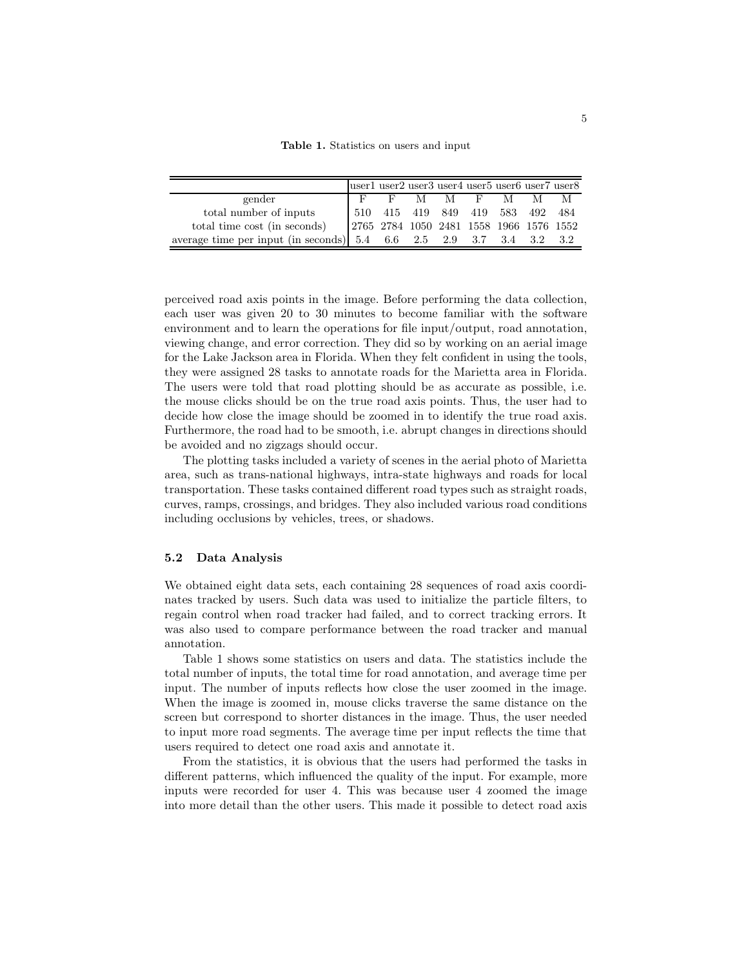Table 1. Statistics on users and input

|                                                                                                             |  |   |   |              |   | user1 user2 user3 user4 user5 user6 user7 user8                                                                                                      |
|-------------------------------------------------------------------------------------------------------------|--|---|---|--------------|---|------------------------------------------------------------------------------------------------------------------------------------------------------|
| gender                                                                                                      |  | М | M | $\mathbf{F}$ | М | M                                                                                                                                                    |
| total number of inputs                                                                                      |  |   |   |              |   |                                                                                                                                                      |
| total time cost (in seconds)                                                                                |  |   |   |              |   | $\begin{array}{ ccccccccccccccc }510 & 415 & 419 & 849 & 419 & 583 & 492 & 484 \\ 2765 & 2784 & 1050 & 2481 & 1558 & 1966 & 1576 & 1552 \end{array}$ |
| average time per input (in seconds) $\begin{bmatrix} 5.4 & 6.6 & 2.5 & 2.9 & 3.7 & 3.4 & 3.2 \end{bmatrix}$ |  |   |   |              |   | - 3.2                                                                                                                                                |

perceived road axis points in the image. Before performing the data collection, each user was given 20 to 30 minutes to become familiar with the software environment and to learn the operations for file input/output, road annotation, viewing change, and error correction. They did so by working on an aerial image for the Lake Jackson area in Florida. When they felt confident in using the tools, they were assigned 28 tasks to annotate roads for the Marietta area in Florida. The users were told that road plotting should be as accurate as possible, i.e. the mouse clicks should be on the true road axis points. Thus, the user had to decide how close the image should be zoomed in to identify the true road axis. Furthermore, the road had to be smooth, i.e. abrupt changes in directions should be avoided and no zigzags should occur.

The plotting tasks included a variety of scenes in the aerial photo of Marietta area, such as trans-national highways, intra-state highways and roads for local transportation. These tasks contained different road types such as straight roads, curves, ramps, crossings, and bridges. They also included various road conditions including occlusions by vehicles, trees, or shadows.

#### 5.2 Data Analysis

We obtained eight data sets, each containing 28 sequences of road axis coordinates tracked by users. Such data was used to initialize the particle filters, to regain control when road tracker had failed, and to correct tracking errors. It was also used to compare performance between the road tracker and manual annotation.

Table 1 shows some statistics on users and data. The statistics include the total number of inputs, the total time for road annotation, and average time per input. The number of inputs reflects how close the user zoomed in the image. When the image is zoomed in, mouse clicks traverse the same distance on the screen but correspond to shorter distances in the image. Thus, the user needed to input more road segments. The average time per input reflects the time that users required to detect one road axis and annotate it.

From the statistics, it is obvious that the users had performed the tasks in different patterns, which influenced the quality of the input. For example, more inputs were recorded for user 4. This was because user 4 zoomed the image into more detail than the other users. This made it possible to detect road axis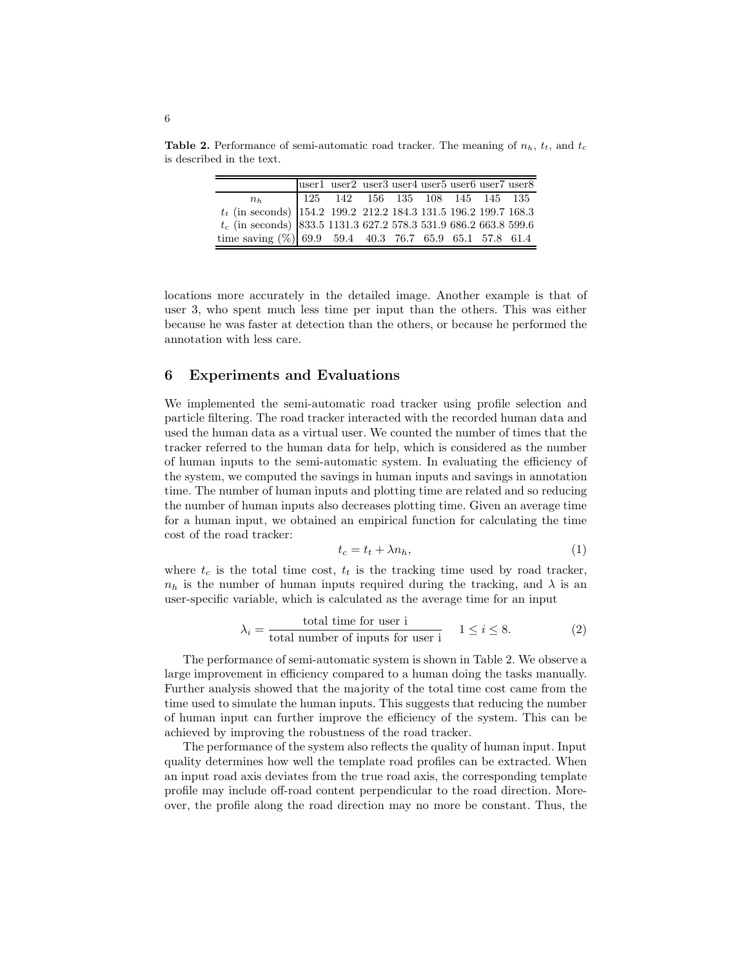**Table 2.** Performance of semi-automatic road tracker. The meaning of  $n_h$ ,  $t_t$ , and  $t_c$ is described in the text.

|                                                                                                                      | user1 user2 user3 user4 user5 user6 user7 user8 |  |  |  |
|----------------------------------------------------------------------------------------------------------------------|-------------------------------------------------|--|--|--|
|                                                                                                                      |                                                 |  |  |  |
| $n_h$ 125 142 156 135 108 145 145 135<br>t <sub>t</sub> (in seconds) 154.2 199.2 212.2 184.3 131.5 196.2 199.7 168.3 |                                                 |  |  |  |
| $t_c$ (in seconds) 833.5 1131.3 627.2 578.3 531.9 686.2 663.8 599.6                                                  |                                                 |  |  |  |
| time saving $(\%)$ 69.9 59.4 40.3 76.7 65.9 65.1 57.8 61.4                                                           |                                                 |  |  |  |
|                                                                                                                      |                                                 |  |  |  |

locations more accurately in the detailed image. Another example is that of user 3, who spent much less time per input than the others. This was either because he was faster at detection than the others, or because he performed the annotation with less care.

## 6 Experiments and Evaluations

We implemented the semi-automatic road tracker using profile selection and particle filtering. The road tracker interacted with the recorded human data and used the human data as a virtual user. We counted the number of times that the tracker referred to the human data for help, which is considered as the number of human inputs to the semi-automatic system. In evaluating the efficiency of the system, we computed the savings in human inputs and savings in annotation time. The number of human inputs and plotting time are related and so reducing the number of human inputs also decreases plotting time. Given an average time for a human input, we obtained an empirical function for calculating the time cost of the road tracker:

$$
t_c = t_t + \lambda n_h,\tag{1}
$$

where  $t_c$  is the total time cost,  $t_t$  is the tracking time used by road tracker,  $n_h$  is the number of human inputs required during the tracking, and  $\lambda$  is an user-specific variable, which is calculated as the average time for an input

$$
\lambda_i = \frac{\text{total time for user i}}{\text{total number of inputs for user i}} \qquad 1 \le i \le 8. \tag{2}
$$

The performance of semi-automatic system is shown in Table 2. We observe a large improvement in efficiency compared to a human doing the tasks manually. Further analysis showed that the majority of the total time cost came from the time used to simulate the human inputs. This suggests that reducing the number of human input can further improve the efficiency of the system. This can be achieved by improving the robustness of the road tracker.

The performance of the system also reflects the quality of human input. Input quality determines how well the template road profiles can be extracted. When an input road axis deviates from the true road axis, the corresponding template profile may include off-road content perpendicular to the road direction. Moreover, the profile along the road direction may no more be constant. Thus, the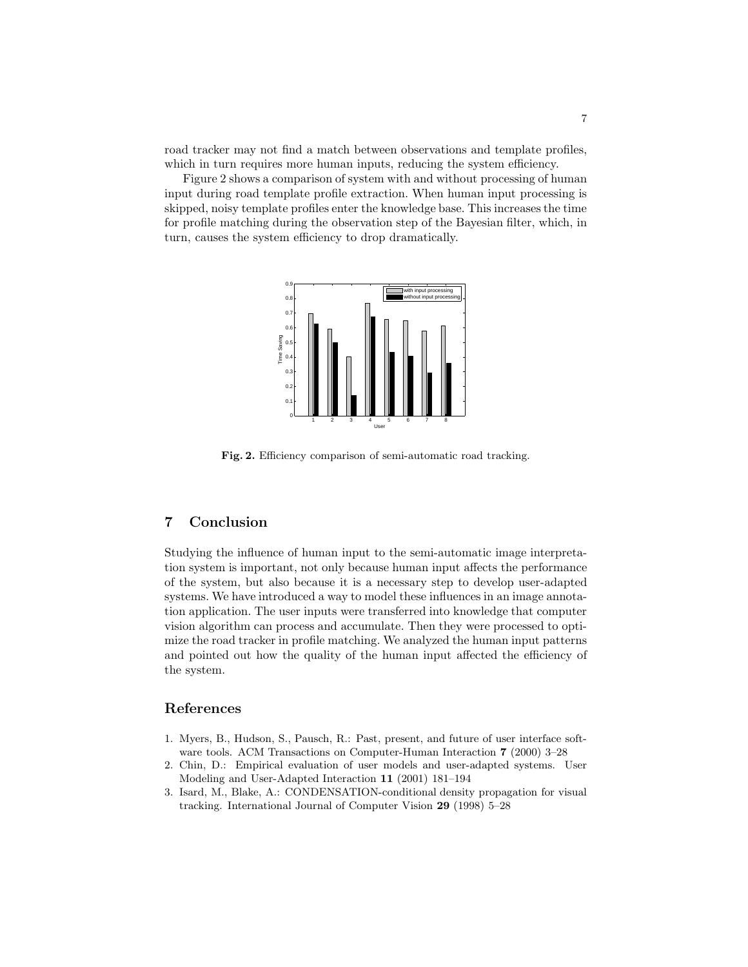road tracker may not find a match between observations and template profiles, which in turn requires more human inputs, reducing the system efficiency.

Figure 2 shows a comparison of system with and without processing of human input during road template profile extraction. When human input processing is skipped, noisy template profiles enter the knowledge base. This increases the time for profile matching during the observation step of the Bayesian filter, which, in turn, causes the system efficiency to drop dramatically.



Fig. 2. Efficiency comparison of semi-automatic road tracking.

## 7 Conclusion

Studying the influence of human input to the semi-automatic image interpretation system is important, not only because human input affects the performance of the system, but also because it is a necessary step to develop user-adapted systems. We have introduced a way to model these influences in an image annotation application. The user inputs were transferred into knowledge that computer vision algorithm can process and accumulate. Then they were processed to optimize the road tracker in profile matching. We analyzed the human input patterns and pointed out how the quality of the human input affected the efficiency of the system.

## References

- 1. Myers, B., Hudson, S., Pausch, R.: Past, present, and future of user interface software tools. ACM Transactions on Computer-Human Interaction 7 (2000) 3–28
- 2. Chin, D.: Empirical evaluation of user models and user-adapted systems. User Modeling and User-Adapted Interaction 11 (2001) 181–194
- 3. Isard, M., Blake, A.: CONDENSATION-conditional density propagation for visual tracking. International Journal of Computer Vision 29 (1998) 5–28